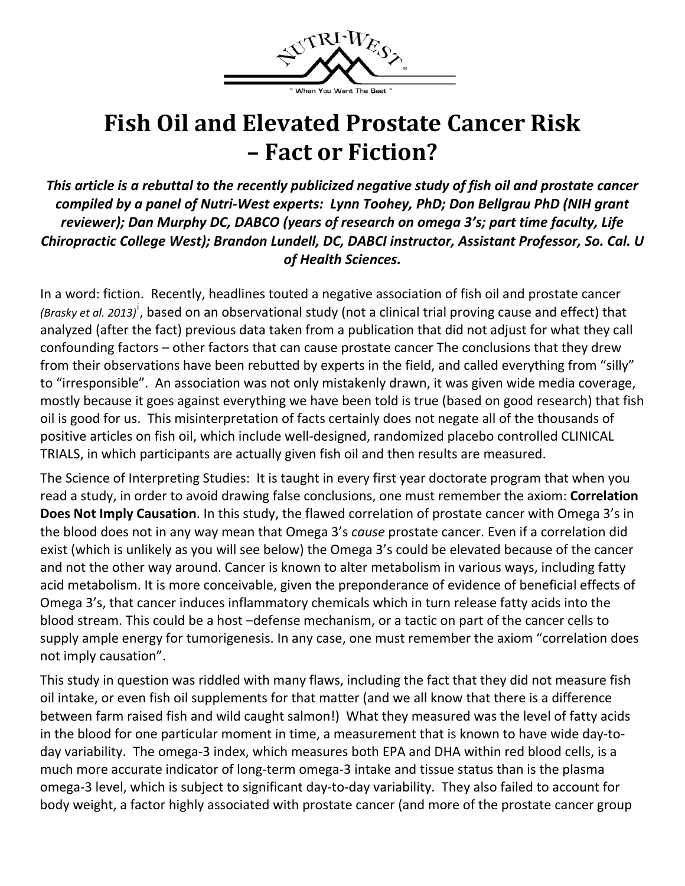

## **Fish Oil and Elevated Prostate Cancer Risk – Fact or Fiction?**

*This article is a rebuttal to the recently publicized negative study of fish oil and prostate cancer compiled by a panel of Nutri‐West experts: Lynn Toohey, PhD; Don Bellgrau PhD (NIH grant reviewer); Dan Murphy DC, DABCO (years of research on omega 3's; part time faculty, Life Chiropractic College West); Brandon Lundell, DC, DABCI instructor, Assistant Professor, So. Cal. U of Health Sciences.*

In a word: fiction. Recently, headlines touted a negative association of fish oil and prostate cancer *(Brasky et al. 2013)*[i](#page-2-0) , based on an observational study (not a clinical trial proving cause and effect) that analyzed (after the fact) previous data taken from a publication that did not adjust for what they call confounding factors – other factors that can cause prostate cancer The conclusions that they drew from their observations have been rebutted by experts in the field, and called everything from "silly" to "irresponsible". An association was not only mistakenly drawn, it was given wide media coverage, mostly because it goes against everything we have been told is true (based on good research) that fish oil is good for us. This misinterpretation of facts certainly does not negate all of the thousands of positive articles on fish oil, which include well‐designed, randomized placebo controlled CLINICAL TRIALS, in which participants are actually given fish oil and then results are measured.

The Science of Interpreting Studies: It is taught in every first year doctorate program that when you read a study, in order to avoid drawing false conclusions, one must remember the axiom: **Correlation Does Not Imply Causation**. In this study, the flawed correlation of prostate cancer with Omega 3's in the blood does not in any way mean that Omega 3's *cause* prostate cancer. Even if a correlation did exist (which is unlikely as you will see below) the Omega 3's could be elevated because of the cancer and not the other way around. Cancer is known to alter metabolism in various ways, including fatty acid metabolism. It is more conceivable, given the preponderance of evidence of beneficial effects of Omega 3's, that cancer induces inflammatory chemicals which in turn release fatty acids into the blood stream. This could be a host –defense mechanism, or a tactic on part of the cancer cells to supply ample energy for tumorigenesis. In any case, one must remember the axiom "correlation does not imply causation".

This study in question was riddled with many flaws, including the fact that they did not measure fish oil intake, or even fish oil supplements for that matter (and we all know that there is a difference between farm raised fish and wild caught salmon!) What they measured was the level of fatty acids in the blood for one particular moment in time, a measurement that is known to have wide day‐to‐ day variability. The omega‐3 index, which measures both EPA and DHA within red blood cells, is a much more accurate indicator of long‐term omega‐3 intake and tissue status than is the plasma omega‐3 level, which is subject to significant day‐to‐day variability. They also failed to account for body weight, a factor highly associated with prostate cancer (and more of the prostate cancer group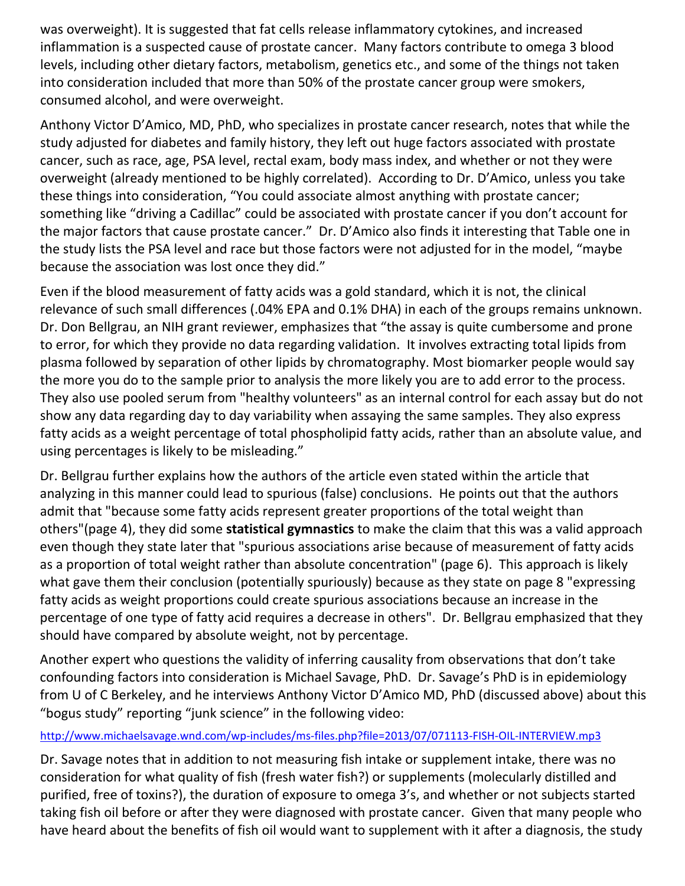was overweight). It is suggested that fat cells release inflammatory cytokines, and increased inflammation is a suspected cause of prostate cancer. Many factors contribute to omega 3 blood levels, including other dietary factors, metabolism, genetics etc., and some of the things not taken into consideration included that more than 50% of the prostate cancer group were smokers, consumed alcohol, and were overweight.

Anthony Victor D'Amico, MD, PhD, who specializes in prostate cancer research, notes that while the study adjusted for diabetes and family history, they left out huge factors associated with prostate cancer, such as race, age, PSA level, rectal exam, body mass index, and whether or not they were overweight (already mentioned to be highly correlated). According to Dr. D'Amico, unless you take these things into consideration, "You could associate almost anything with prostate cancer; something like "driving a Cadillac" could be associated with prostate cancer if you don't account for the major factors that cause prostate cancer." Dr. D'Amico also finds it interesting that Table one in the study lists the PSA level and race but those factors were not adjusted for in the model, "maybe because the association was lost once they did."

Even if the blood measurement of fatty acids was a gold standard, which it is not, the clinical relevance of such small differences (.04% EPA and 0.1% DHA) in each of the groups remains unknown. Dr. Don Bellgrau, an NIH grant reviewer, emphasizes that "the assay is quite cumbersome and prone to error, for which they provide no data regarding validation. It involves extracting total lipids from plasma followed by separation of other lipids by chromatography. Most biomarker people would say the more you do to the sample prior to analysis the more likely you are to add error to the process. They also use pooled serum from "healthy volunteers" as an internal control for each assay but do not show any data regarding day to day variability when assaying the same samples. They also express fatty acids as a weight percentage of total phospholipid fatty acids, rather than an absolute value, and using percentages is likely to be misleading."

Dr. Bellgrau further explains how the authors of the article even stated within the article that analyzing in this manner could lead to spurious (false) conclusions. He points out that the authors admit that "because some fatty acids represent greater proportions of the total weight than others"(page 4), they did some **statistical gymnastics** to make the claim that this was a valid approach even though they state later that "spurious associations arise because of measurement of fatty acids as a proportion of total weight rather than absolute concentration" (page 6). This approach is likely what gave them their conclusion (potentially spuriously) because as they state on page 8 "expressing fatty acids as weight proportions could create spurious associations because an increase in the percentage of one type of fatty acid requires a decrease in others". Dr. Bellgrau emphasized that they should have compared by absolute weight, not by percentage.

Another expert who questions the validity of inferring causality from observations that don't take confounding factors into consideration is Michael Savage, PhD. Dr. Savage's PhD is in epidemiology from U of C Berkeley, and he interviews Anthony Victor D'Amico MD, PhD (discussed above) about this "bogus study" reporting "junk science" in the following video:

#### [http://www.michaelsavage.wnd.com/wp](http://www.michaelsavage.wnd.com/wp-includes/ms-files.php?file=2013/07/071113-FISH-OIL-INTERVIEW.mp3)-includes/ms-files.php?file=2013/07/071113-FISH-OIL-INTERVIEW.mp3

Dr. Savage notes that in addition to not measuring fish intake or supplement intake, there was no consideration for what quality of fish (fresh water fish?) or supplements (molecularly distilled and purified, free of toxins?), the duration of exposure to omega 3's, and whether or not subjects started taking fish oil before or after they were diagnosed with prostate cancer. Given that many people who have heard about the benefits of fish oil would want to supplement with it after a diagnosis, the study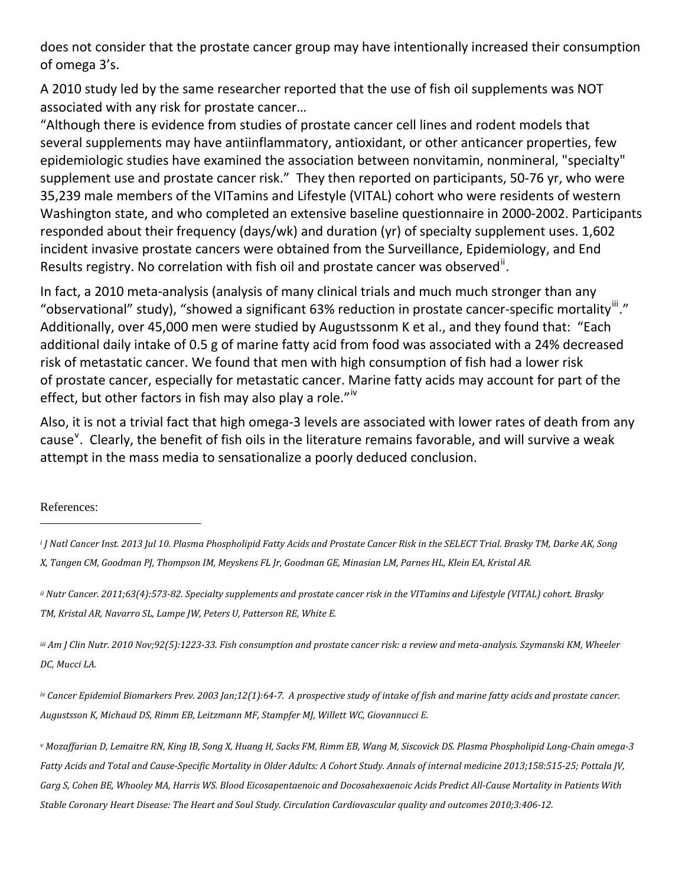<span id="page-2-1"></span>does not consider that the prostate cancer group may have intentionally increased their consumption of omega 3's.

A 2010 study led by the same researcher reported that the use of fish oil supplements was NOT associated with any risk for prostate cancer…

"Although there is evidence from studies of prostate cancer cell lines and rodent models that several supplements may have antiinflammatory, antioxidant, or other anticancer properties, few epidemiologic studies have examined the association between nonvitamin, nonmineral, "specialty" supplement use and prostate cancer risk." They then reported on participants, 50-76 yr, who were 35,239 male members of the VITamins and Lifestyle (VITAL) cohort who were residents of western Washington state, and who completed an extensive baseline questionnaire in 2000‐2002. Participants responded about their frequency (days/wk) and duration (yr) of specialty supplement uses. 1,602 incident invasive prostate cancers were obtained from the Surveillance, Epidemiology, and End Results registry. No correlation with fish oil and prostate cancer was observed<sup>[ii](#page-2-1)</sup>.

In fact, a 2010 meta-analysis (analysis of many clinical trials and much much stronger than any "observational" study), "showed a significant 63% reduction in prostate cancer-specific mortality"." Additionally, over 45,000 men were studied by Augustssonm K et al., and they found that: "Each additional daily intake of 0.5 g of marine fatty acid from food was associated with a 24% decreased risk of metastatic cancer. We found that men with high consumption of fish had a lower risk of prostate cancer, especially for metastatic cancer. Marine fatty acids may account for part of the effect, but other factors in fish may also play a role." $\dot{v}$ 

Also, it is not a trivial fact that high omega‐3 levels are associated with lower rates of death from any cause<sup>[v](#page-2-4)</sup>. Clearly, the benefit of fish oils in the literature remains favorable, and will survive a weak attempt in the mass media to sensationalize a poorly deduced conclusion.

References:

ii Nutr [Cancer.](http://www.ncbi.nlm.nih.gov/pubmed/21598177?report=abstract) 2011;63(4):573-82. Specialty supplements and prostate cancer risk in the VITamins and Lifestyle (VITAL) cohort. [Brasky](http://www.ncbi.nlm.nih.gov/pubmed?term=Brasky%20TM%5BAuthor%5D&cauthor=true&cauthor_uid=21598177) *[TM](http://www.ncbi.nlm.nih.gov/pubmed?term=Brasky%20TM%5BAuthor%5D&cauthor=true&cauthor_uid=21598177), [Kristal](http://www.ncbi.nlm.nih.gov/pubmed?term=Kristal%20AR%5BAuthor%5D&cauthor=true&cauthor_uid=21598177) AR, [Navarro](http://www.ncbi.nlm.nih.gov/pubmed?term=Navarro%20SL%5BAuthor%5D&cauthor=true&cauthor_uid=21598177) SL, [Lampe](http://www.ncbi.nlm.nih.gov/pubmed?term=Lampe%20JW%5BAuthor%5D&cauthor=true&cauthor_uid=21598177) JW, [Peters](http://www.ncbi.nlm.nih.gov/pubmed?term=Peters%20U%5BAuthor%5D&cauthor=true&cauthor_uid=21598177) U, [Patterson](http://www.ncbi.nlm.nih.gov/pubmed?term=Patterson%20RE%5BAuthor%5D&cauthor=true&cauthor_uid=21598177) RE, [White](http://www.ncbi.nlm.nih.gov/pubmed?term=White%20E%5BAuthor%5D&cauthor=true&cauthor_uid=21598177) E.*

<span id="page-2-2"></span>iii Am J Clin [Nutr.](http://www.ncbi.nlm.nih.gov/pubmed/20844069?report=abstract) 2010 Nov;92(5):1223-33. Fish consumption and prostate cancer risk: a review and meta-analysis. [Szymanski](http://www.ncbi.nlm.nih.gov/pubmed?term=Szymanski%20KM%5BAuthor%5D&cauthor=true&cauthor_uid=20844069) KM, [Wheeler](http://www.ncbi.nlm.nih.gov/pubmed?term=Wheeler%20DC%5BAuthor%5D&cauthor=true&cauthor_uid=20844069) *[DC,](http://www.ncbi.nlm.nih.gov/pubmed?term=Wheeler%20DC%5BAuthor%5D&cauthor=true&cauthor_uid=20844069) [Mucci](http://www.ncbi.nlm.nih.gov/pubmed?term=Mucci%20LA%5BAuthor%5D&cauthor=true&cauthor_uid=20844069) LA.*

<span id="page-2-3"></span>iv Cancer Epidemiol [Biomarkers](http://www.ncbi.nlm.nih.gov/pubmed/12540506?report=abstract) Prev. 2003 Jan;12(1):64-7. A prospective study of intake of fish and marine fatty acids and prostate cancer. *[Augustsson](http://www.ncbi.nlm.nih.gov/pubmed?term=Augustsson%20K%5BAuthor%5D&cauthor=true&cauthor_uid=12540506) K, [Michaud](http://www.ncbi.nlm.nih.gov/pubmed?term=Michaud%20DS%5BAuthor%5D&cauthor=true&cauthor_uid=12540506) DS, [Rimm](http://www.ncbi.nlm.nih.gov/pubmed?term=Rimm%20EB%5BAuthor%5D&cauthor=true&cauthor_uid=12540506) EB, [Leitzmann](http://www.ncbi.nlm.nih.gov/pubmed?term=Leitzmann%20MF%5BAuthor%5D&cauthor=true&cauthor_uid=12540506) MF, [Stampfer](http://www.ncbi.nlm.nih.gov/pubmed?term=Stampfer%20MJ%5BAuthor%5D&cauthor=true&cauthor_uid=12540506) MJ, [Willett](http://www.ncbi.nlm.nih.gov/pubmed?term=Willett%20WC%5BAuthor%5D&cauthor=true&cauthor_uid=12540506) WC, [Giovannucci](http://www.ncbi.nlm.nih.gov/pubmed?term=Giovannucci%20E%5BAuthor%5D&cauthor=true&cauthor_uid=12540506) E.*

<span id="page-2-4"></span><sup>v</sup> Mozaffarian D, Lemaitre RN, King IB, Song X, Huang H, Sacks FM, Rimm EB, Wang M, Siscovick DS. Plasma Phospholipid Long-Chain omega-3 Fatty Acids and Total and Cause-Specific Mortality in Older Adults: A Cohort Study. Annals of internal medicine 2013;158:515-25; Pottala JV, Garg S, Cohen BE, Whooley MA, Harris WS. Blood Eicosapentaenoic and Docosahexaenoic Acids Predict All-Cause Mortality in Patients With Stable Coronary Heart Disease: The Heart and Soul Study. Circulation Cardiovascular quality and outcomes 2010;3:406-12.

<span id="page-2-0"></span><sup>&</sup>lt;sup>i</sup> J Natl [Cancer](http://www.ncbi.nlm.nih.gov/pubmed) Inst. 2013 Jul 10. Plasma [Phospholipid](http://www.ncbi.nlm.nih.gov/pubmed/23843441) Fatty Acids and Prostate Cancer Risk in the SELECT Trial. [Brasky](http://www.ncbi.nlm.nih.gov/pubmed?term=Brasky%20TM%5BAuthor%5D&cauthor=true&cauthor_uid=23843441) TM, [Darke](http://www.ncbi.nlm.nih.gov/pubmed?term=Darke%20AK%5BAuthor%5D&cauthor=true&cauthor_uid=23843441) AK, [Song](http://www.ncbi.nlm.nih.gov/pubmed?term=Song%20X%5BAuthor%5D&cauthor=true&cauthor_uid=23843441) [X,](http://www.ncbi.nlm.nih.gov/pubmed?term=Song%20X%5BAuthor%5D&cauthor=true&cauthor_uid=23843441) [Tangen](http://www.ncbi.nlm.nih.gov/pubmed?term=Tangen%20CM%5BAuthor%5D&cauthor=true&cauthor_uid=23843441) CM, [Goodman](http://www.ncbi.nlm.nih.gov/pubmed?term=Goodman%20GE%5BAuthor%5D&cauthor=true&cauthor_uid=23843441) PJ, [Thompson](http://www.ncbi.nlm.nih.gov/pubmed?term=Thompson%20IM%5BAuthor%5D&cauthor=true&cauthor_uid=23843441) IM, [Meyskens](http://www.ncbi.nlm.nih.gov/pubmed?term=Meyskens%20FL%20Jr%5BAuthor%5D&cauthor=true&cauthor_uid=23843441) FL Jr, Goodman GE, [Minasian](http://www.ncbi.nlm.nih.gov/pubmed?term=Minasian%20LM%5BAuthor%5D&cauthor=true&cauthor_uid=23843441) LM, [Parnes](http://www.ncbi.nlm.nih.gov/pubmed?term=Parnes%20HL%5BAuthor%5D&cauthor=true&cauthor_uid=23843441) HL, [Klein](http://www.ncbi.nlm.nih.gov/pubmed?term=Klein%20EA%5BAuthor%5D&cauthor=true&cauthor_uid=23843441) EA, [Kristal](http://www.ncbi.nlm.nih.gov/pubmed?term=Kristal%20AR%5BAuthor%5D&cauthor=true&cauthor_uid=23843441) AR.